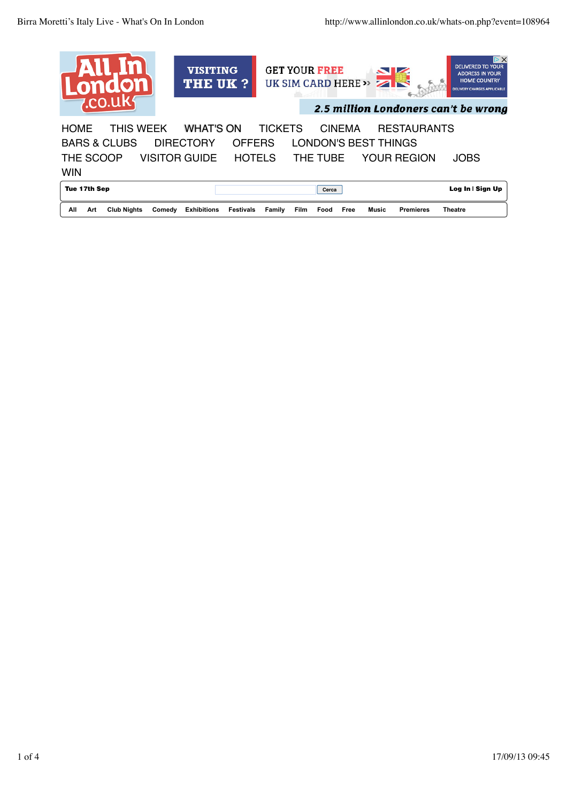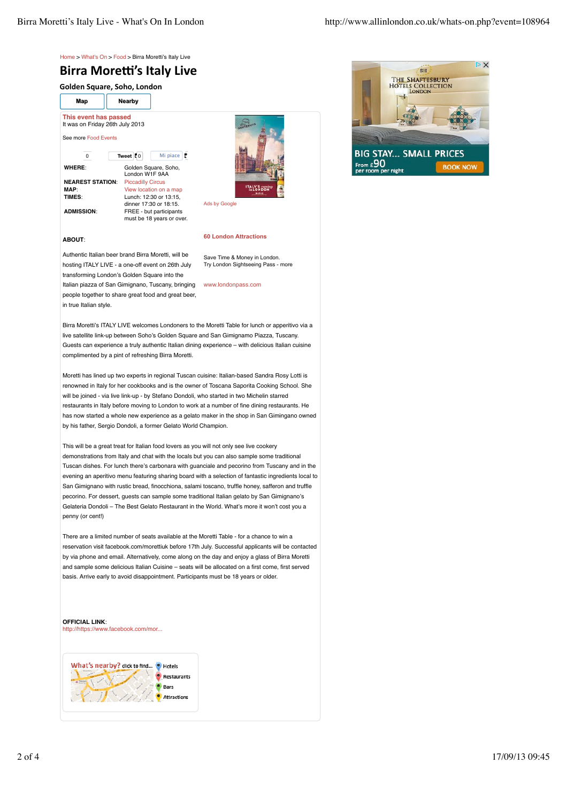

## **Birra Moretti's Italy Live**

**Golden
Square,
Soho,
London**

**Map Nearby**

**This event has passed** It was on Friday 26th July 2013 See more Food Events 0 **Tweet** C<sub>0</sub> Mi piace **WHERE**: Golden Square, Soho, London W1F 9AA **NEAREST STATION:** Piccadilly Circus **MAP:** View location on a map<br>**TIMES**: Unch: 12:30 or 13:15 **TIMES**: Lunch: 12:30 or 13:15, dinner 17:30 or 18:15. **ADMISSION**: FREE - but participants must be 18 years or over.



# **60 London Attractions**

## **ABOUT**:

Authentic Italian beer brand Birra Moretti, will be hosting ITALY LIVE - a one-off event on 26th July transforming London's Golden Square into the Italian piazza of San Gimignano, Tuscany, bringing people together to share great food and great beer, in true Italian style.

Save Time & Money in London. Try London Sightseeing Pass - more

www.londonpass.com

Birra Moretti's ITALY LIVE welcomes Londoners to the Moretti Table for lunch or apperitivo via a live satellite link-up between Soho's Golden Square and San Gimignamo Piazza, Tuscany. Guests can experience a truly authentic Italian dining experience – with delicious Italian cuisine complimented by a pint of refreshing Birra Moretti.

Moretti has lined up two experts in regional Tuscan cuisine: Italian-based Sandra Rosy Lotti is renowned in Italy for her cookbooks and is the owner of Toscana Saporita Cooking School. She will be joined - via live link-up - by Stefano Dondoli, who started in two Michelin starred restaurants in Italy before moving to London to work at a number of fine dining restaurants. He has now started a whole new experience as a gelato maker in the shop in San Gimingano owned by his father, Sergio Dondoli, a former Gelato World Champion.

This will be a great treat for Italian food lovers as you will not only see live cookery demonstrations from Italy and chat with the locals but you can also sample some traditional Tuscan dishes. For lunch there's carbonara with guanciale and pecorino from Tuscany and in the evening an aperitivo menu featuring sharing board with a selection of fantastic ingredients local to San Gimignano with rustic bread, finocchiona, salami toscano, truffle honey, safferon and truffle pecorino. For dessert, guests can sample some traditional Italian gelato by San Gimignano's Gelateria Dondoli – The Best Gelato Restaurant in the World. What's more it won't cost you a penny (or cent!)

There are a limited number of seats available at the Moretti Table - for a chance to win a reservation visit facebook.com/morettiuk before 17th July. Successful applicants will be contacted by via phone and email. Alternatively, come along on the day and enjoy a glass of Birra Moretti and sample some delicious Italian Cuisine – seats will be allocated on a first come, first served basis. Arrive early to avoid disappointment. Participants must be 18 years or older.

#### **OFFICIAL LINK**:

http://https://www.facebook.com/mor...



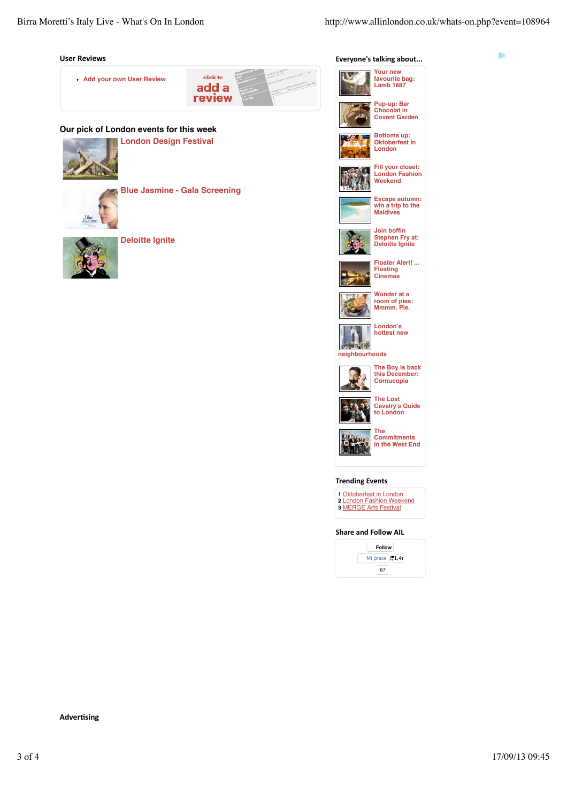Þ

#### **User
Reviews**



### **Our pick of London events for this week**

**London Design Festival**



**Blue Jasmine - Gala Screening**



**Blue**<br>dasmi

**Deloitte Ignite**









**Bottoms up: Oktoberfest in London**



**Fill your closet: London Fashion Weekend**



**Escape autumn: win a trip to the Maldives Join boffin**



**Stephen Fry at: Deloitte Ignite**



**Floater Alert! ... Floating Cinemas**



**Wonder at a room of pies: Mmmm. Pie.**

**London's**





**The Boy is back this December: Cornucopia**



**The Lost Cavalry's Guide to London**



**Commitments in the West End**

#### **Trending
Events**

**1** Oktoberfest in London **2** London Fashion Weekend **3** MERGE Arts Festival

#### **Share
and
Follow
AIL**

**Follow** Mi piace  $\overline{\mathbf{51,4}}$ 67

#### **Advertising**